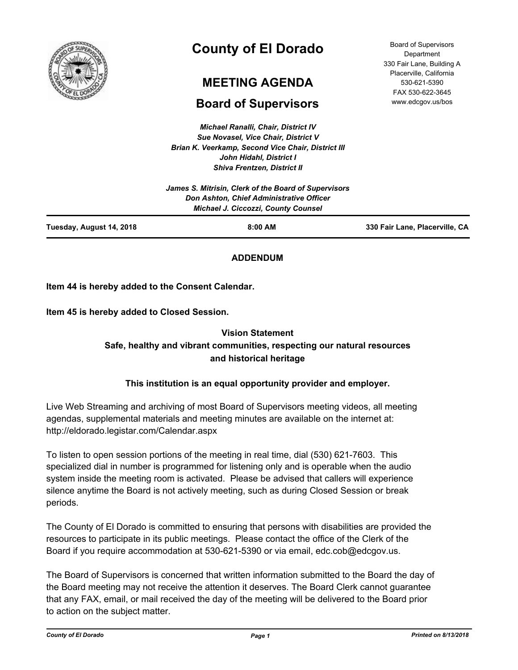

# **County of El Dorado**

# **MEETING AGENDA**

# **Board of Supervisors**

*Michael Ranalli, Chair, District IV Sue Novasel, Vice Chair, District V Brian K. Veerkamp, Second Vice Chair, District III John Hidahl, District I Shiva Frentzen, District II*

|                          | <b>Don Ashton, Chief Administrative Officer</b><br><b>Michael J. Ciccozzi, County Counsel</b> |                                |
|--------------------------|-----------------------------------------------------------------------------------------------|--------------------------------|
| Tuesday, August 14, 2018 | 8:00 AM                                                                                       | 330 Fair Lane, Placerville, CA |

# **ADDENDUM**

**Item 44 is hereby added to the Consent Calendar.**

**Item 45 is hereby added to Closed Session.**

# **Vision Statement Safe, healthy and vibrant communities, respecting our natural resources and historical heritage**

# **This institution is an equal opportunity provider and employer.**

Live Web Streaming and archiving of most Board of Supervisors meeting videos, all meeting agendas, supplemental materials and meeting minutes are available on the internet at: http://eldorado.legistar.com/Calendar.aspx

To listen to open session portions of the meeting in real time, dial (530) 621-7603. This specialized dial in number is programmed for listening only and is operable when the audio system inside the meeting room is activated. Please be advised that callers will experience silence anytime the Board is not actively meeting, such as during Closed Session or break periods.

The County of El Dorado is committed to ensuring that persons with disabilities are provided the resources to participate in its public meetings. Please contact the office of the Clerk of the Board if you require accommodation at 530-621-5390 or via email, edc.cob@edcgov.us.

The Board of Supervisors is concerned that written information submitted to the Board the day of the Board meeting may not receive the attention it deserves. The Board Clerk cannot guarantee that any FAX, email, or mail received the day of the meeting will be delivered to the Board prior to action on the subject matter.

Board of Supervisors Department 330 Fair Lane, Building A Placerville, California 530-621-5390 FAX 530-622-3645 www.edcgov.us/bos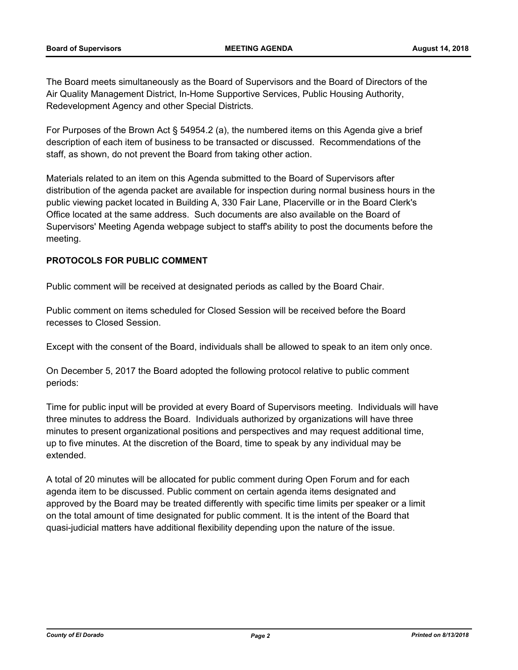The Board meets simultaneously as the Board of Supervisors and the Board of Directors of the Air Quality Management District, In-Home Supportive Services, Public Housing Authority, Redevelopment Agency and other Special Districts.

For Purposes of the Brown Act § 54954.2 (a), the numbered items on this Agenda give a brief description of each item of business to be transacted or discussed. Recommendations of the staff, as shown, do not prevent the Board from taking other action.

Materials related to an item on this Agenda submitted to the Board of Supervisors after distribution of the agenda packet are available for inspection during normal business hours in the public viewing packet located in Building A, 330 Fair Lane, Placerville or in the Board Clerk's Office located at the same address. Such documents are also available on the Board of Supervisors' Meeting Agenda webpage subject to staff's ability to post the documents before the meeting.

## **PROTOCOLS FOR PUBLIC COMMENT**

Public comment will be received at designated periods as called by the Board Chair.

Public comment on items scheduled for Closed Session will be received before the Board recesses to Closed Session.

Except with the consent of the Board, individuals shall be allowed to speak to an item only once.

On December 5, 2017 the Board adopted the following protocol relative to public comment periods:

Time for public input will be provided at every Board of Supervisors meeting. Individuals will have three minutes to address the Board. Individuals authorized by organizations will have three minutes to present organizational positions and perspectives and may request additional time, up to five minutes. At the discretion of the Board, time to speak by any individual may be extended.

A total of 20 minutes will be allocated for public comment during Open Forum and for each agenda item to be discussed. Public comment on certain agenda items designated and approved by the Board may be treated differently with specific time limits per speaker or a limit on the total amount of time designated for public comment. It is the intent of the Board that quasi-judicial matters have additional flexibility depending upon the nature of the issue.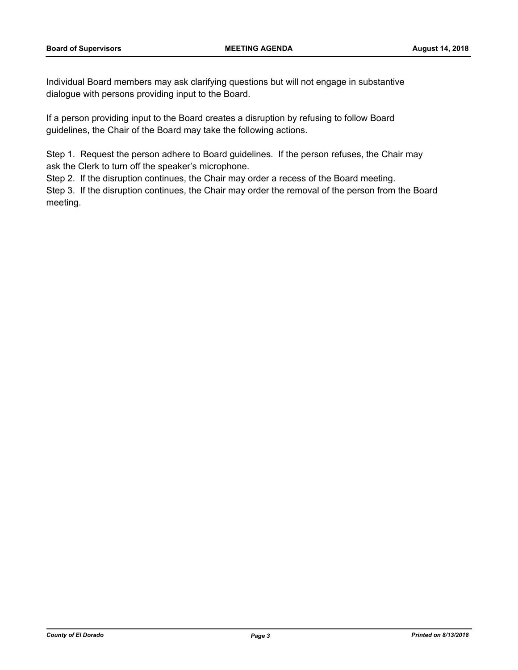Individual Board members may ask clarifying questions but will not engage in substantive dialogue with persons providing input to the Board.

If a person providing input to the Board creates a disruption by refusing to follow Board guidelines, the Chair of the Board may take the following actions.

Step 1. Request the person adhere to Board guidelines. If the person refuses, the Chair may ask the Clerk to turn off the speaker's microphone.

Step 2. If the disruption continues, the Chair may order a recess of the Board meeting.

Step 3. If the disruption continues, the Chair may order the removal of the person from the Board meeting.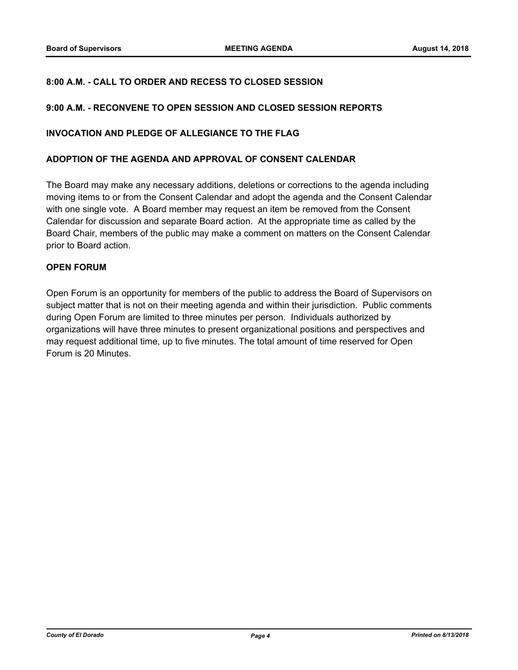### **8:00 A.M. - CALL TO ORDER AND RECESS TO CLOSED SESSION**

#### **9:00 A.M. - RECONVENE TO OPEN SESSION AND CLOSED SESSION REPORTS**

#### **INVOCATION AND PLEDGE OF ALLEGIANCE TO THE FLAG**

#### **ADOPTION OF THE AGENDA AND APPROVAL OF CONSENT CALENDAR**

The Board may make any necessary additions, deletions or corrections to the agenda including moving items to or from the Consent Calendar and adopt the agenda and the Consent Calendar with one single vote. A Board member may request an item be removed from the Consent Calendar for discussion and separate Board action. At the appropriate time as called by the Board Chair, members of the public may make a comment on matters on the Consent Calendar prior to Board action.

#### **OPEN FORUM**

Open Forum is an opportunity for members of the public to address the Board of Supervisors on subject matter that is not on their meeting agenda and within their jurisdiction. Public comments during Open Forum are limited to three minutes per person. Individuals authorized by organizations will have three minutes to present organizational positions and perspectives and may request additional time, up to five minutes. The total amount of time reserved for Open Forum is 20 Minutes.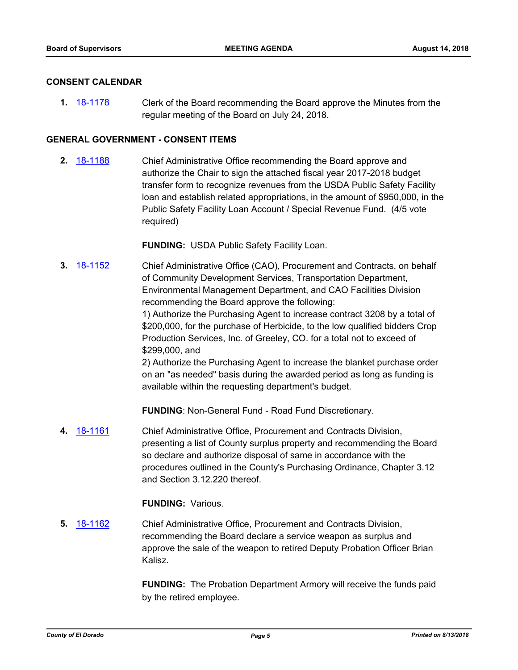#### **CONSENT CALENDAR**

**1.** [18-1178](http://eldorado.legistar.com/gateway.aspx?m=l&id=/matter.aspx?key=24528) Clerk of the Board recommending the Board approve the Minutes from the regular meeting of the Board on July 24, 2018.

#### **GENERAL GOVERNMENT - CONSENT ITEMS**

**2.** [18-1188](http://eldorado.legistar.com/gateway.aspx?m=l&id=/matter.aspx?key=24538) Chief Administrative Office recommending the Board approve and authorize the Chair to sign the attached fiscal year 2017-2018 budget transfer form to recognize revenues from the USDA Public Safety Facility loan and establish related appropriations, in the amount of \$950,000, in the Public Safety Facility Loan Account / Special Revenue Fund. (4/5 vote required)

**FUNDING:** USDA Public Safety Facility Loan.

**3.** [18-1152](http://eldorado.legistar.com/gateway.aspx?m=l&id=/matter.aspx?key=24502) Chief Administrative Office (CAO), Procurement and Contracts, on behalf of Community Development Services, Transportation Department, Environmental Management Department, and CAO Facilities Division recommending the Board approve the following: 1) Authorize the Purchasing Agent to increase contract 3208 by a total of

\$200,000, for the purchase of Herbicide, to the low qualified bidders Crop Production Services, Inc. of Greeley, CO. for a total not to exceed of \$299,000, and

2) Authorize the Purchasing Agent to increase the blanket purchase order on an "as needed" basis during the awarded period as long as funding is available within the requesting department's budget.

**FUNDING**: Non-General Fund - Road Fund Discretionary.

**4.** [18-1161](http://eldorado.legistar.com/gateway.aspx?m=l&id=/matter.aspx?key=24511) Chief Administrative Office, Procurement and Contracts Division, presenting a list of County surplus property and recommending the Board so declare and authorize disposal of same in accordance with the procedures outlined in the County's Purchasing Ordinance, Chapter 3.12 and Section 3.12.220 thereof.

**FUNDING:** Various.

**5.** [18-1162](http://eldorado.legistar.com/gateway.aspx?m=l&id=/matter.aspx?key=24512) Chief Administrative Office, Procurement and Contracts Division, recommending the Board declare a service weapon as surplus and approve the sale of the weapon to retired Deputy Probation Officer Brian Kalisz.

> **FUNDING:** The Probation Department Armory will receive the funds paid by the retired employee.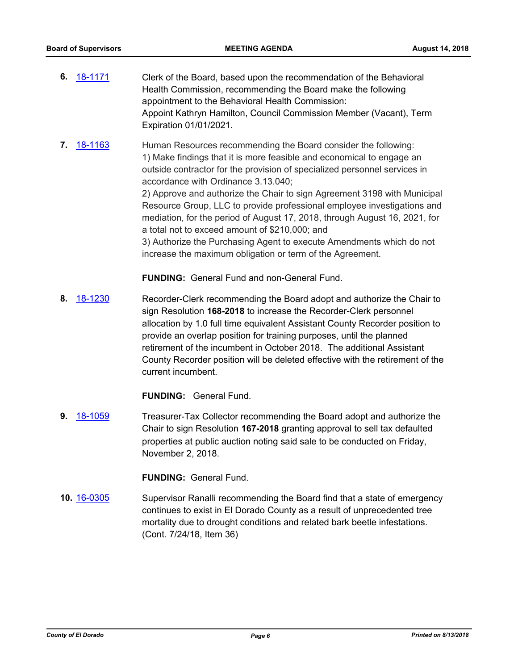- **6.** [18-1171](http://eldorado.legistar.com/gateway.aspx?m=l&id=/matter.aspx?key=24521) Clerk of the Board, based upon the recommendation of the Behavioral Health Commission, recommending the Board make the following appointment to the Behavioral Health Commission: Appoint Kathryn Hamilton, Council Commission Member (Vacant), Term Expiration 01/01/2021.
- **7.** [18-1163](http://eldorado.legistar.com/gateway.aspx?m=l&id=/matter.aspx?key=24513) Human Resources recommending the Board consider the following: 1) Make findings that it is more feasible and economical to engage an outside contractor for the provision of specialized personnel services in accordance with Ordinance 3.13.040;

2) Approve and authorize the Chair to sign Agreement 3198 with Municipal Resource Group, LLC to provide professional employee investigations and mediation, for the period of August 17, 2018, through August 16, 2021, for a total not to exceed amount of \$210,000; and

3) Authorize the Purchasing Agent to execute Amendments which do not increase the maximum obligation or term of the Agreement.

**FUNDING:** General Fund and non-General Fund.

**8.** [18-1230](http://eldorado.legistar.com/gateway.aspx?m=l&id=/matter.aspx?key=24581) Recorder-Clerk recommending the Board adopt and authorize the Chair to sign Resolution **168-2018** to increase the Recorder-Clerk personnel allocation by 1.0 full time equivalent Assistant County Recorder position to provide an overlap position for training purposes, until the planned retirement of the incumbent in October 2018. The additional Assistant County Recorder position will be deleted effective with the retirement of the current incumbent.

**FUNDING:** General Fund.

**9.** [18-1059](http://eldorado.legistar.com/gateway.aspx?m=l&id=/matter.aspx?key=24409) Treasurer-Tax Collector recommending the Board adopt and authorize the Chair to sign Resolution **167-2018** granting approval to sell tax defaulted properties at public auction noting said sale to be conducted on Friday, November 2, 2018.

### **FUNDING:** General Fund.

**10.** [16-0305](http://eldorado.legistar.com/gateway.aspx?m=l&id=/matter.aspx?key=20961) Supervisor Ranalli recommending the Board find that a state of emergency continues to exist in El Dorado County as a result of unprecedented tree mortality due to drought conditions and related bark beetle infestations. (Cont. 7/24/18, Item 36)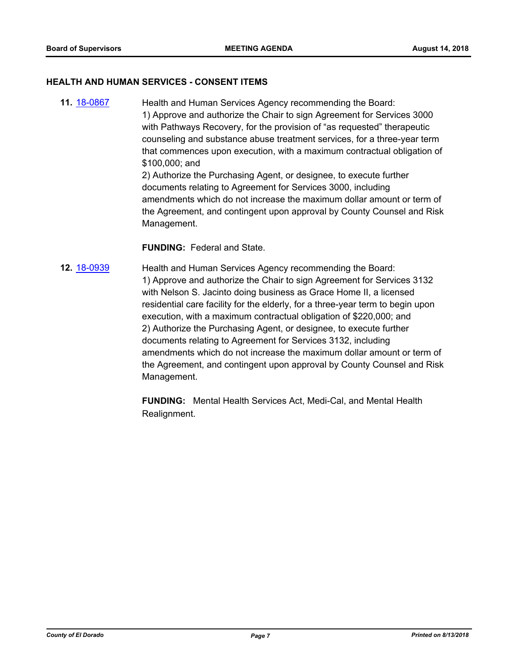#### **HEALTH AND HUMAN SERVICES - CONSENT ITEMS**

**11.** [18-0867](http://eldorado.legistar.com/gateway.aspx?m=l&id=/matter.aspx?key=24214) Health and Human Services Agency recommending the Board: 1) Approve and authorize the Chair to sign Agreement for Services 3000 with Pathways Recovery, for the provision of "as requested" therapeutic counseling and substance abuse treatment services, for a three-year term that commences upon execution, with a maximum contractual obligation of \$100,000; and 2) Authorize the Purchasing Agent, or designee, to execute further documents relating to Agreement for Services 3000, including amendments which do not increase the maximum dollar amount or term of the Agreement, and contingent upon approval by County Counsel and Risk Management.

#### **FUNDING:** Federal and State.

**12.** [18-0939](http://eldorado.legistar.com/gateway.aspx?m=l&id=/matter.aspx?key=24287) Health and Human Services Agency recommending the Board: 1) Approve and authorize the Chair to sign Agreement for Services 3132 with Nelson S. Jacinto doing business as Grace Home II, a licensed residential care facility for the elderly, for a three-year term to begin upon execution, with a maximum contractual obligation of \$220,000; and 2) Authorize the Purchasing Agent, or designee, to execute further documents relating to Agreement for Services 3132, including amendments which do not increase the maximum dollar amount or term of the Agreement, and contingent upon approval by County Counsel and Risk Management.

> **FUNDING:** Mental Health Services Act, Medi-Cal, and Mental Health Realignment.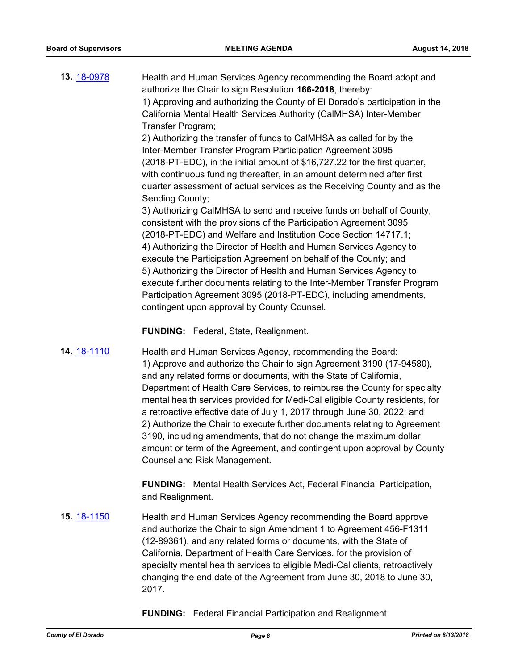| 13. 18-0978 | Health and Human Services Agency recommending the Board adopt and           |
|-------------|-----------------------------------------------------------------------------|
|             | authorize the Chair to sign Resolution 166-2018, thereby:                   |
|             | 1) Approving and authorizing the County of El Dorado's participation in the |
|             | California Mental Health Services Authority (CalMHSA) Inter-Member          |
|             | Transfer Program;                                                           |
|             |                                                                             |

2) Authorizing the transfer of funds to CalMHSA as called for by the Inter-Member Transfer Program Participation Agreement 3095 (2018-PT-EDC), in the initial amount of \$16,727.22 for the first quarter, with continuous funding thereafter, in an amount determined after first quarter assessment of actual services as the Receiving County and as the Sending County;

3) Authorizing CalMHSA to send and receive funds on behalf of County, consistent with the provisions of the Participation Agreement 3095 (2018-PT-EDC) and Welfare and Institution Code Section 14717.1; 4) Authorizing the Director of Health and Human Services Agency to execute the Participation Agreement on behalf of the County; and 5) Authorizing the Director of Health and Human Services Agency to execute further documents relating to the Inter-Member Transfer Program Participation Agreement 3095 (2018-PT-EDC), including amendments, contingent upon approval by County Counsel.

**FUNDING:** Federal, State, Realignment.

**14.** [18-1110](http://eldorado.legistar.com/gateway.aspx?m=l&id=/matter.aspx?key=24460) **Health and Human Services Agency, recommending the Board:** 1) Approve and authorize the Chair to sign Agreement 3190 (17-94580), and any related forms or documents, with the State of California, Department of Health Care Services, to reimburse the County for specialty mental health services provided for Medi-Cal eligible County residents, for a retroactive effective date of July 1, 2017 through June 30, 2022; and 2) Authorize the Chair to execute further documents relating to Agreement 3190, including amendments, that do not change the maximum dollar amount or term of the Agreement, and contingent upon approval by County Counsel and Risk Management.

> **FUNDING:** Mental Health Services Act, Federal Financial Participation, and Realignment.

**15.** [18-1150](http://eldorado.legistar.com/gateway.aspx?m=l&id=/matter.aspx?key=24500) Health and Human Services Agency recommending the Board approve and authorize the Chair to sign Amendment 1 to Agreement 456-F1311 (12-89361), and any related forms or documents, with the State of California, Department of Health Care Services, for the provision of specialty mental health services to eligible Medi-Cal clients, retroactively changing the end date of the Agreement from June 30, 2018 to June 30, 2017.

**FUNDING:** Federal Financial Participation and Realignment.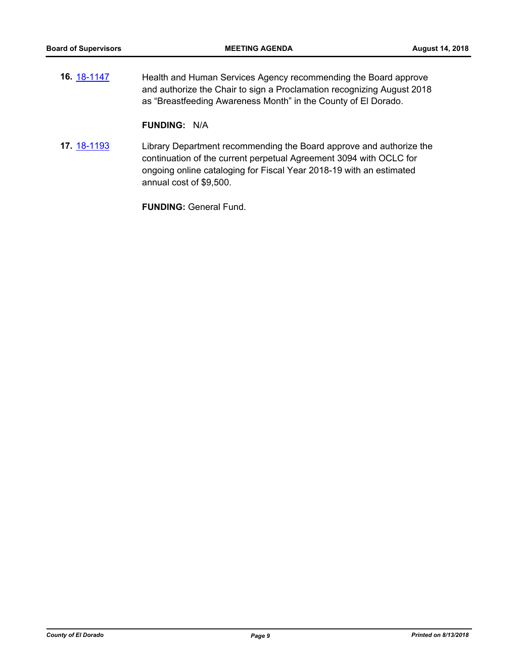**16.** [18-1147](http://eldorado.legistar.com/gateway.aspx?m=l&id=/matter.aspx?key=24497) Health and Human Services Agency recommending the Board approve and authorize the Chair to sign a Proclamation recognizing August 2018 as "Breastfeeding Awareness Month" in the County of El Dorado.

#### **FUNDING:** N/A

**17.** [18-1193](http://eldorado.legistar.com/gateway.aspx?m=l&id=/matter.aspx?key=24544) Library Department recommending the Board approve and authorize the continuation of the current perpetual Agreement 3094 with OCLC for ongoing online cataloging for Fiscal Year 2018-19 with an estimated annual cost of \$9,500.

**FUNDING:** General Fund.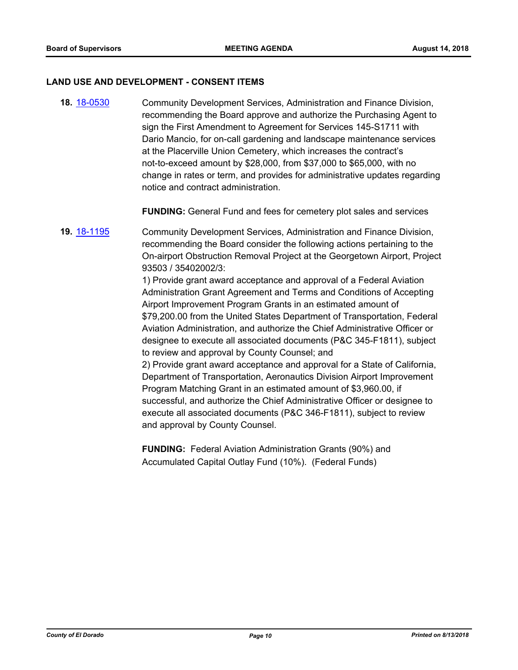#### **LAND USE AND DEVELOPMENT - CONSENT ITEMS**

**18.** [18-0530](http://eldorado.legistar.com/gateway.aspx?m=l&id=/matter.aspx?key=23875) Community Development Services, Administration and Finance Division, recommending the Board approve and authorize the Purchasing Agent to sign the First Amendment to Agreement for Services 145-S1711 with Dario Mancio, for on-call gardening and landscape maintenance services at the Placerville Union Cemetery, which increases the contract's not-to-exceed amount by \$28,000, from \$37,000 to \$65,000, with no change in rates or term, and provides for administrative updates regarding notice and contract administration.

**FUNDING:** General Fund and fees for cemetery plot sales and services

**19.** [18-1195](http://eldorado.legistar.com/gateway.aspx?m=l&id=/matter.aspx?key=24546) Community Development Services, Administration and Finance Division, recommending the Board consider the following actions pertaining to the On-airport Obstruction Removal Project at the Georgetown Airport, Project 93503 / 35402002/3:

> 1) Provide grant award acceptance and approval of a Federal Aviation Administration Grant Agreement and Terms and Conditions of Accepting Airport Improvement Program Grants in an estimated amount of \$79,200.00 from the United States Department of Transportation, Federal Aviation Administration, and authorize the Chief Administrative Officer or designee to execute all associated documents (P&C 345-F1811), subject to review and approval by County Counsel; and

> 2) Provide grant award acceptance and approval for a State of California, Department of Transportation, Aeronautics Division Airport Improvement Program Matching Grant in an estimated amount of \$3,960.00, if successful, and authorize the Chief Administrative Officer or designee to execute all associated documents (P&C 346-F1811), subject to review and approval by County Counsel.

**FUNDING:** Federal Aviation Administration Grants (90%) and Accumulated Capital Outlay Fund (10%). (Federal Funds)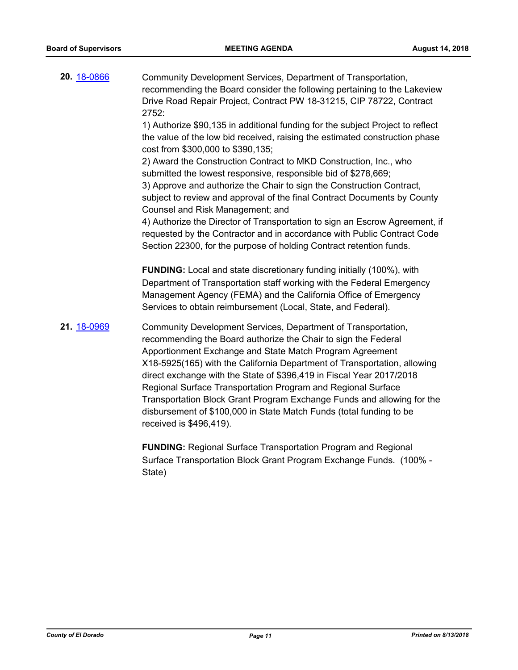| 20. 18-0866 | Community Development Services, Department of Transportation,<br>recommending the Board consider the following pertaining to the Lakeview<br>Drive Road Repair Project, Contract PW 18-31215, CIP 78722, Contract<br>2752:<br>1) Authorize \$90,135 in additional funding for the subject Project to reflect<br>the value of the low bid received, raising the estimated construction phase<br>cost from \$300,000 to \$390,135;<br>2) Award the Construction Contract to MKD Construction, Inc., who<br>submitted the lowest responsive, responsible bid of \$278,669;<br>3) Approve and authorize the Chair to sign the Construction Contract,<br>subject to review and approval of the final Contract Documents by County<br>Counsel and Risk Management; and<br>4) Authorize the Director of Transportation to sign an Escrow Agreement, if<br>requested by the Contractor and in accordance with Public Contract Code |
|-------------|----------------------------------------------------------------------------------------------------------------------------------------------------------------------------------------------------------------------------------------------------------------------------------------------------------------------------------------------------------------------------------------------------------------------------------------------------------------------------------------------------------------------------------------------------------------------------------------------------------------------------------------------------------------------------------------------------------------------------------------------------------------------------------------------------------------------------------------------------------------------------------------------------------------------------|
| 21. 18-0969 | Section 22300, for the purpose of holding Contract retention funds.<br><b>FUNDING:</b> Local and state discretionary funding initially (100%), with<br>Department of Transportation staff working with the Federal Emergency<br>Management Agency (FEMA) and the California Office of Emergency<br>Services to obtain reimbursement (Local, State, and Federal).<br>Community Development Services, Department of Transportation,<br>recommending the Board authorize the Chair to sign the Federal                                                                                                                                                                                                                                                                                                                                                                                                                        |
|             | Apportionment Exchange and State Match Program Agreement<br>X18-5925(165) with the California Department of Transportation, allowing<br>direct exchange with the State of \$396,419 in Fiscal Year 2017/2018<br>Regional Surface Transportation Program and Regional Surface<br>Transportation Block Grant Program Exchange Funds and allowing for the<br>disbursement of \$100,000 in State Match Funds (total funding to be<br>received is \$496,419).                                                                                                                                                                                                                                                                                                                                                                                                                                                                   |

**FUNDING:** Regional Surface Transportation Program and Regional Surface Transportation Block Grant Program Exchange Funds. (100% - State)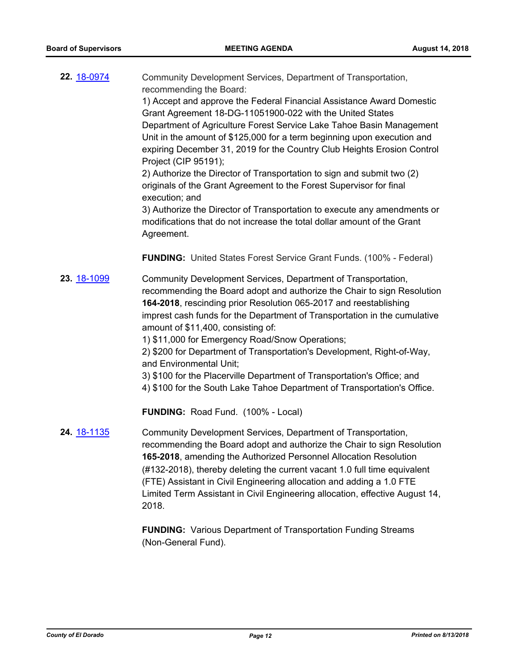**22.** [18-0974](http://eldorado.legistar.com/gateway.aspx?m=l&id=/matter.aspx?key=24322) Community Development Services, Department of Transportation, recommending the Board:

1) Accept and approve the Federal Financial Assistance Award Domestic Grant Agreement 18-DG-11051900-022 with the United States Department of Agriculture Forest Service Lake Tahoe Basin Management Unit in the amount of \$125,000 for a term beginning upon execution and expiring December 31, 2019 for the Country Club Heights Erosion Control Project (CIP 95191);

2) Authorize the Director of Transportation to sign and submit two (2) originals of the Grant Agreement to the Forest Supervisor for final execution; and

3) Authorize the Director of Transportation to execute any amendments or modifications that do not increase the total dollar amount of the Grant Agreement.

**FUNDING:** United States Forest Service Grant Funds. (100% - Federal)

**23.** [18-1099](http://eldorado.legistar.com/gateway.aspx?m=l&id=/matter.aspx?key=24449) Community Development Services, Department of Transportation, recommending the Board adopt and authorize the Chair to sign Resolution **164-2018**, rescinding prior Resolution 065-2017 and reestablishing imprest cash funds for the Department of Transportation in the cumulative amount of \$11,400, consisting of:

1) \$11,000 for Emergency Road/Snow Operations;

2) \$200 for Department of Transportation's Development, Right-of-Way, and Environmental Unit;

3) \$100 for the Placerville Department of Transportation's Office; and

4) \$100 for the South Lake Tahoe Department of Transportation's Office.

**FUNDING:** Road Fund. (100% - Local)

**24.** [18-1135](http://eldorado.legistar.com/gateway.aspx?m=l&id=/matter.aspx?key=24485) Community Development Services, Department of Transportation, recommending the Board adopt and authorize the Chair to sign Resolution **165-2018**, amending the Authorized Personnel Allocation Resolution (#132-2018), thereby deleting the current vacant 1.0 full time equivalent (FTE) Assistant in Civil Engineering allocation and adding a 1.0 FTE Limited Term Assistant in Civil Engineering allocation, effective August 14, 2018.

> **FUNDING:** Various Department of Transportation Funding Streams (Non-General Fund).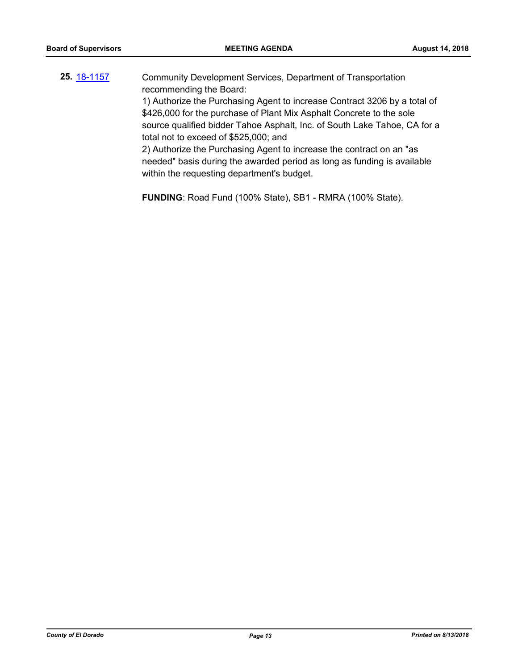| 25. 18-1157 | Community Development Services, Department of Transportation              |
|-------------|---------------------------------------------------------------------------|
|             | recommending the Board:                                                   |
|             | 1) Authorize the Purchasing Agent to increase Contract 3206 by a total of |
|             | \$426,000 for the purchase of Plant Mix Asphalt Concrete to the sole      |
|             | source qualified bidder Tahoe Asphalt, Inc. of South Lake Tahoe, CA for a |
|             | total not to exceed of \$525,000; and                                     |
|             | 2) Authorize the Purchasing Agent to increase the contract on an "as      |
|             | needed" basis during the awarded period as long as funding is available   |
|             | within the requesting department's budget.                                |
|             |                                                                           |
|             |                                                                           |

**FUNDING**: Road Fund (100% State), SB1 - RMRA (100% State).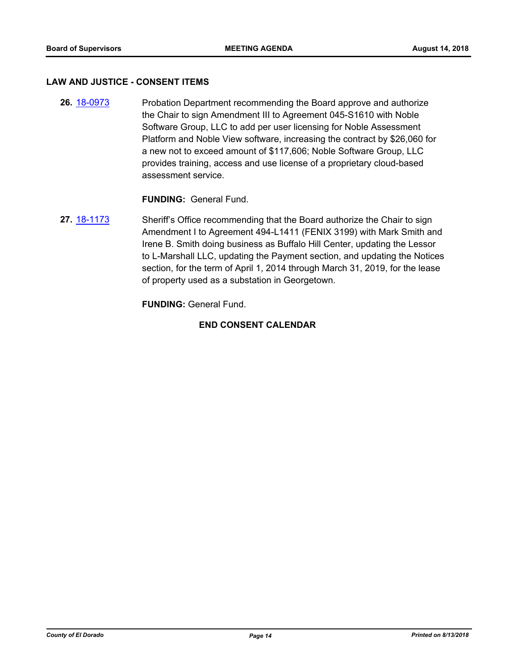#### **LAW AND JUSTICE - CONSENT ITEMS**

**26.** [18-0973](http://eldorado.legistar.com/gateway.aspx?m=l&id=/matter.aspx?key=24321) Probation Department recommending the Board approve and authorize the Chair to sign Amendment III to Agreement 045-S1610 with Noble Software Group, LLC to add per user licensing for Noble Assessment Platform and Noble View software, increasing the contract by \$26,060 for a new not to exceed amount of \$117,606; Noble Software Group, LLC provides training, access and use license of a proprietary cloud-based assessment service.

**FUNDING:** General Fund.

**27.** [18-1173](http://eldorado.legistar.com/gateway.aspx?m=l&id=/matter.aspx?key=24523) Sheriff's Office recommending that the Board authorize the Chair to sign Amendment I to Agreement 494-L1411 (FENIX 3199) with Mark Smith and Irene B. Smith doing business as Buffalo Hill Center, updating the Lessor to L-Marshall LLC, updating the Payment section, and updating the Notices section, for the term of April 1, 2014 through March 31, 2019, for the lease of property used as a substation in Georgetown.

**FUNDING:** General Fund.

#### **END CONSENT CALENDAR**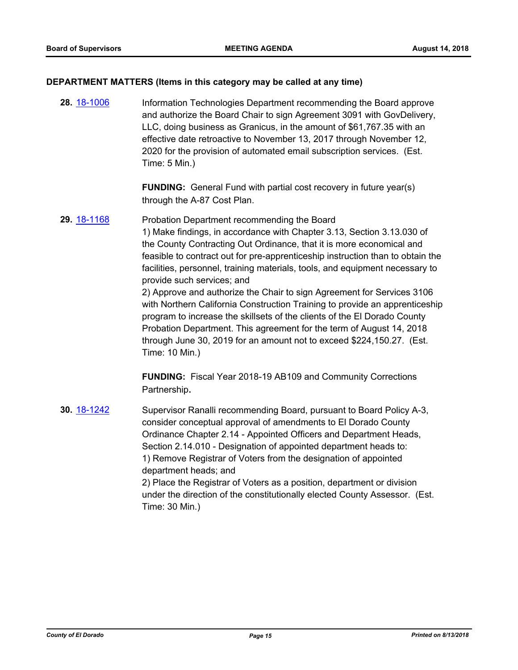#### **DEPARTMENT MATTERS (Items in this category may be called at any time)**

**28.** [18-1006](http://eldorado.legistar.com/gateway.aspx?m=l&id=/matter.aspx?key=24355) Information Technologies Department recommending the Board approve and authorize the Board Chair to sign Agreement 3091 with GovDelivery, LLC, doing business as Granicus, in the amount of \$61,767.35 with an effective date retroactive to November 13, 2017 through November 12, 2020 for the provision of automated email subscription services. (Est. Time: 5 Min.)

> **FUNDING:** General Fund with partial cost recovery in future year(s) through the A-87 Cost Plan.

**29.** [18-1168](http://eldorado.legistar.com/gateway.aspx?m=l&id=/matter.aspx?key=24518) Probation Department recommending the Board 1) Make findings, in accordance with Chapter 3.13, Section 3.13.030 of the County Contracting Out Ordinance, that it is more economical and feasible to contract out for pre-apprenticeship instruction than to obtain the facilities, personnel, training materials, tools, and equipment necessary to provide such services; and 2) Approve and authorize the Chair to sign Agreement for Services 3106 with Northern California Construction Training to provide an apprenticeship program to increase the skillsets of the clients of the El Dorado County Probation Department. This agreement for the term of August 14, 2018

through June 30, 2019 for an amount not to exceed \$224,150.27. (Est. Time: 10 Min.)

**FUNDING:** Fiscal Year 2018-19 AB109 and Community Corrections Partnership**.**

**30.** [18-1242](http://eldorado.legistar.com/gateway.aspx?m=l&id=/matter.aspx?key=24593) Supervisor Ranalli recommending Board, pursuant to Board Policy A-3, consider conceptual approval of amendments to El Dorado County Ordinance Chapter 2.14 - Appointed Officers and Department Heads, Section 2.14.010 - Designation of appointed department heads to: 1) Remove Registrar of Voters from the designation of appointed department heads; and 2) Place the Registrar of Voters as a position, department or division under the direction of the constitutionally elected County Assessor. (Est. Time: 30 Min.)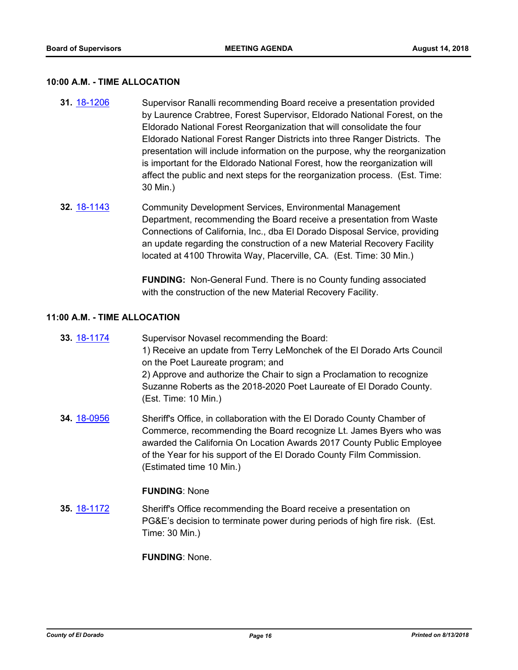#### **10:00 A.M. - TIME ALLOCATION**

- **31.** [18-1206](http://eldorado.legistar.com/gateway.aspx?m=l&id=/matter.aspx?key=24557) Supervisor Ranalli recommending Board receive a presentation provided by Laurence Crabtree, Forest Supervisor, Eldorado National Forest, on the Eldorado National Forest Reorganization that will consolidate the four Eldorado National Forest Ranger Districts into three Ranger Districts. The presentation will include information on the purpose, why the reorganization is important for the Eldorado National Forest, how the reorganization will affect the public and next steps for the reorganization process. (Est. Time: 30 Min.)
- **32.** [18-1143](http://eldorado.legistar.com/gateway.aspx?m=l&id=/matter.aspx?key=24493) Community Development Services, Environmental Management Department, recommending the Board receive a presentation from Waste Connections of California, Inc., dba El Dorado Disposal Service, providing an update regarding the construction of a new Material Recovery Facility located at 4100 Throwita Way, Placerville, CA. (Est. Time: 30 Min.)

**FUNDING:** Non-General Fund. There is no County funding associated with the construction of the new Material Recovery Facility.

#### **11:00 A.M. - TIME ALLOCATION**

| 33. 18-1174 | Supervisor Novasel recommending the Board:                              |
|-------------|-------------------------------------------------------------------------|
|             | 1) Receive an update from Terry LeMonchek of the El Dorado Arts Council |
|             | on the Poet Laureate program; and                                       |
|             | 2) Approve and authorize the Chair to sign a Proclamation to recognize  |
|             | Suzanne Roberts as the 2018-2020 Poet Laureate of El Dorado County.     |
|             | (Est. Time: 10 Min.)                                                    |
| 34. 18-0956 | Sheriff's Office, in collaboration with the El Dorado County Chamber of |
|             | Commerce, recommending the Board recognize Lt. James Byers who was      |
|             | awarded the California On Location Awards 2017 County Public Employee   |

awarded the California On Location Awards 2017 County Public Employee of the Year for his support of the El Dorado County Film Commission. (Estimated time 10 Min.)

#### **FUNDING**: None

**35.** [18-1172](http://eldorado.legistar.com/gateway.aspx?m=l&id=/matter.aspx?key=24522) Sheriff's Office recommending the Board receive a presentation on PG&E's decision to terminate power during periods of high fire risk. (Est. Time: 30 Min.)

**FUNDING**: None.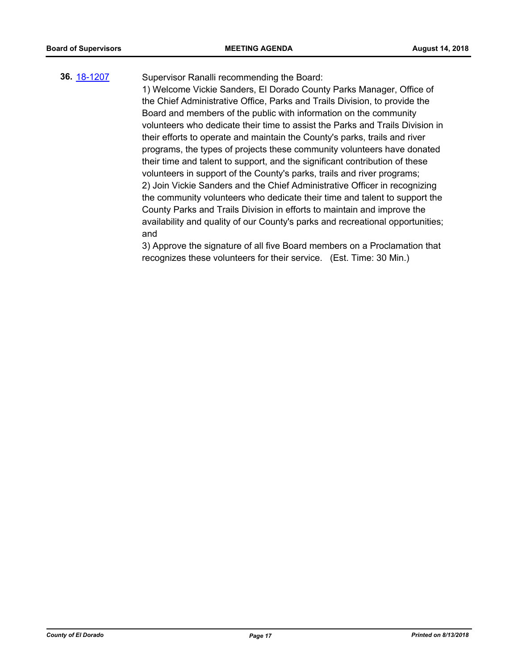# **36.** [18-1207](http://eldorado.legistar.com/gateway.aspx?m=l&id=/matter.aspx?key=24558) Supervisor Ranalli recommending the Board:

1) Welcome Vickie Sanders, El Dorado County Parks Manager, Office of the Chief Administrative Office, Parks and Trails Division, to provide the Board and members of the public with information on the community volunteers who dedicate their time to assist the Parks and Trails Division in their efforts to operate and maintain the County's parks, trails and river programs, the types of projects these community volunteers have donated their time and talent to support, and the significant contribution of these volunteers in support of the County's parks, trails and river programs; 2) Join Vickie Sanders and the Chief Administrative Officer in recognizing the community volunteers who dedicate their time and talent to support the County Parks and Trails Division in efforts to maintain and improve the availability and quality of our County's parks and recreational opportunities; and

3) Approve the signature of all five Board members on a Proclamation that recognizes these volunteers for their service. (Est. Time: 30 Min.)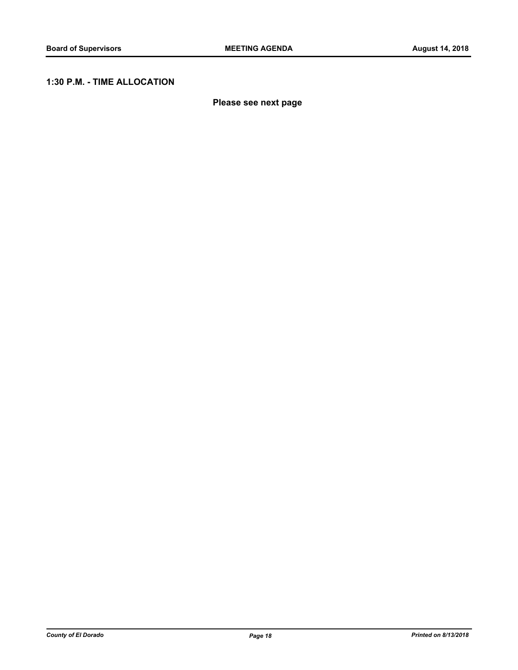# **1:30 P.M. - TIME ALLOCATION**

**Please see next page**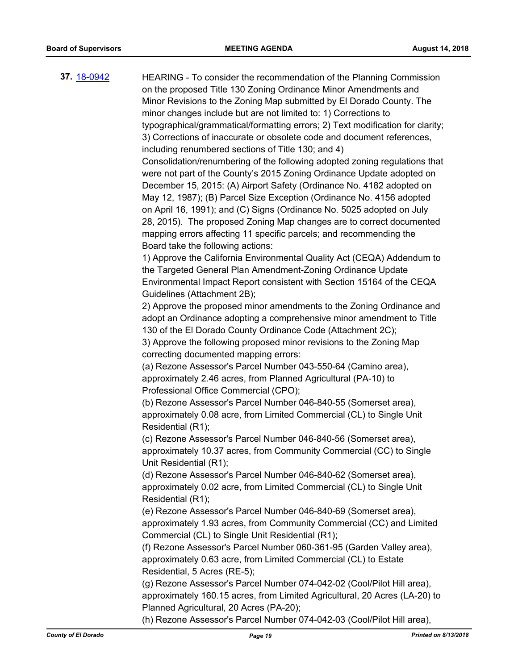**37.** [18-0942](http://eldorado.legistar.com/gateway.aspx?m=l&id=/matter.aspx?key=24290) HEARING - To consider the recommendation of the Planning Commission on the proposed Title 130 Zoning Ordinance Minor Amendments and Minor Revisions to the Zoning Map submitted by El Dorado County. The minor changes include but are not limited to: 1) Corrections to typographical/grammatical/formatting errors; 2) Text modification for clarity; 3) Corrections of inaccurate or obsolete code and document references, including renumbered sections of Title 130; and 4) Consolidation/renumbering of the following adopted zoning regulations that were not part of the County's 2015 Zoning Ordinance Update adopted on December 15, 2015: (A) Airport Safety (Ordinance No. 4182 adopted on May 12, 1987); (B) Parcel Size Exception (Ordinance No. 4156 adopted on April 16, 1991); and (C) Signs (Ordinance No. 5025 adopted on July 28, 2015). The proposed Zoning Map changes are to correct documented mapping errors affecting 11 specific parcels; and recommending the Board take the following actions: 1) Approve the California Environmental Quality Act (CEQA) Addendum to the Targeted General Plan Amendment-Zoning Ordinance Update Environmental Impact Report consistent with Section 15164 of the CEQA Guidelines (Attachment 2B); 2) Approve the proposed minor amendments to the Zoning Ordinance and adopt an Ordinance adopting a comprehensive minor amendment to Title 130 of the El Dorado County Ordinance Code (Attachment 2C); 3) Approve the following proposed minor revisions to the Zoning Map correcting documented mapping errors: (a) Rezone Assessor's Parcel Number 043-550-64 (Camino area), approximately 2.46 acres, from Planned Agricultural (PA-10) to Professional Office Commercial (CPO); (b) Rezone Assessor's Parcel Number 046-840-55 (Somerset area), approximately 0.08 acre, from Limited Commercial (CL) to Single Unit Residential (R1); (c) Rezone Assessor's Parcel Number 046-840-56 (Somerset area), approximately 10.37 acres, from Community Commercial (CC) to Single Unit Residential (R1); (d) Rezone Assessor's Parcel Number 046-840-62 (Somerset area), approximately 0.02 acre, from Limited Commercial (CL) to Single Unit Residential (R1); (e) Rezone Assessor's Parcel Number 046-840-69 (Somerset area), approximately 1.93 acres, from Community Commercial (CC) and Limited Commercial (CL) to Single Unit Residential (R1); (f) Rezone Assessor's Parcel Number 060-361-95 (Garden Valley area), approximately 0.63 acre, from Limited Commercial (CL) to Estate Residential, 5 Acres (RE-5); (g) Rezone Assessor's Parcel Number 074-042-02 (Cool/Pilot Hill area), approximately 160.15 acres, from Limited Agricultural, 20 Acres (LA-20) to Planned Agricultural, 20 Acres (PA-20);

(h) Rezone Assessor's Parcel Number 074-042-03 (Cool/Pilot Hill area),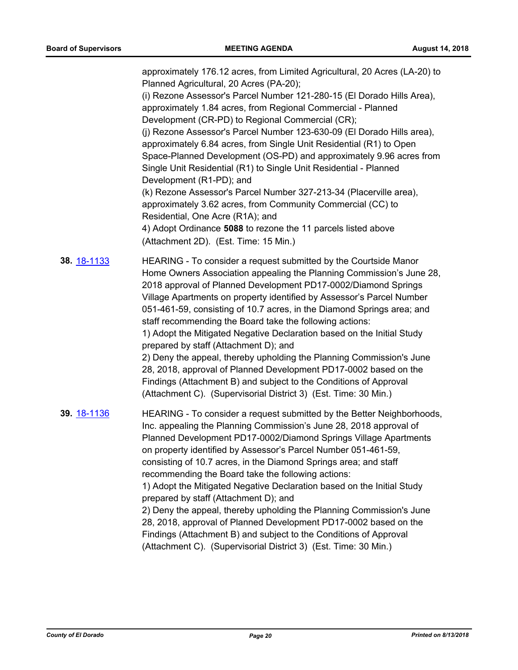approximately 176.12 acres, from Limited Agricultural, 20 Acres (LA-20) to Planned Agricultural, 20 Acres (PA-20); (i) Rezone Assessor's Parcel Number 121-280-15 (El Dorado Hills Area), approximately 1.84 acres, from Regional Commercial - Planned Development (CR-PD) to Regional Commercial (CR); (j) Rezone Assessor's Parcel Number 123-630-09 (El Dorado Hills area), approximately 6.84 acres, from Single Unit Residential (R1) to Open Space-Planned Development (OS-PD) and approximately 9.96 acres from Single Unit Residential (R1) to Single Unit Residential - Planned Development (R1-PD); and (k) Rezone Assessor's Parcel Number 327-213-34 (Placerville area), approximately 3.62 acres, from Community Commercial (CC) to Residential, One Acre (R1A); and 4) Adopt Ordinance **5088** to rezone the 11 parcels listed above (Attachment 2D). (Est. Time: 15 Min.) **38.** [18-1133](http://eldorado.legistar.com/gateway.aspx?m=l&id=/matter.aspx?key=24483) HEARING - To consider a request submitted by the Courtside Manor Home Owners Association appealing the Planning Commission's June 28, 2018 approval of Planned Development PD17-0002/Diamond Springs Village Apartments on property identified by Assessor's Parcel Number 051-461-59, consisting of 10.7 acres, in the Diamond Springs area; and staff recommending the Board take the following actions: 1) Adopt the Mitigated Negative Declaration based on the Initial Study prepared by staff (Attachment D); and 2) Deny the appeal, thereby upholding the Planning Commission's June 28, 2018, approval of Planned Development PD17-0002 based on the Findings (Attachment B) and subject to the Conditions of Approval (Attachment C). (Supervisorial District 3) (Est. Time: 30 Min.) **39.** [18-1136](http://eldorado.legistar.com/gateway.aspx?m=l&id=/matter.aspx?key=24486) HEARING - To consider a request submitted by the Better Neighborhoods, Inc. appealing the Planning Commission's June 28, 2018 approval of Planned Development PD17-0002/Diamond Springs Village Apartments on property identified by Assessor's Parcel Number 051-461-59, consisting of 10.7 acres, in the Diamond Springs area; and staff recommending the Board take the following actions: 1) Adopt the Mitigated Negative Declaration based on the Initial Study prepared by staff (Attachment D); and 2) Deny the appeal, thereby upholding the Planning Commission's June 28, 2018, approval of Planned Development PD17-0002 based on the Findings (Attachment B) and subject to the Conditions of Approval

(Attachment C). (Supervisorial District 3) (Est. Time: 30 Min.)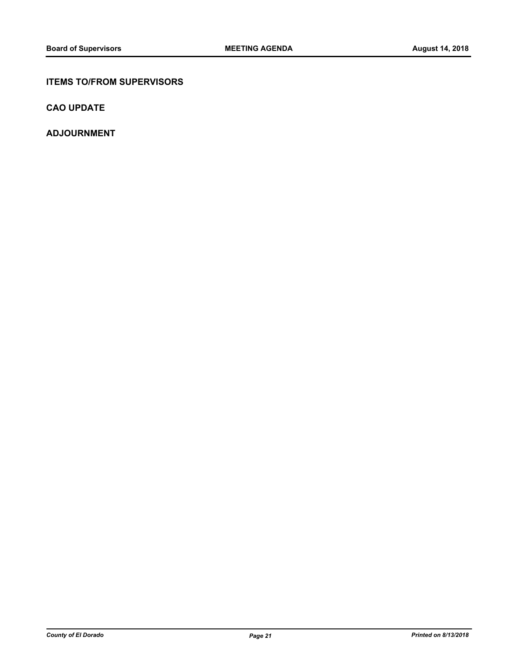### **ITEMS TO/FROM SUPERVISORS**

**CAO UPDATE**

**ADJOURNMENT**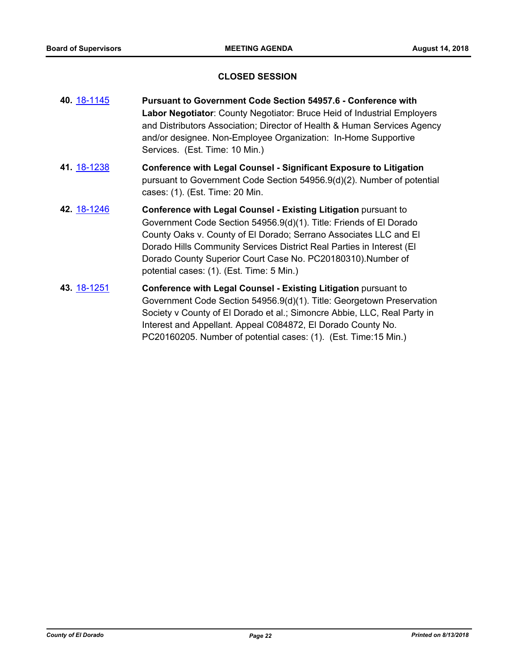#### **CLOSED SESSION**

| 40 18-1145 | <b>Pursuant to Government Code Section 54957.6 - Conference with</b>                                                                       |
|------------|--------------------------------------------------------------------------------------------------------------------------------------------|
|            | Labor Negotiator: County Negotiator: Bruce Heid of Industrial Employers                                                                    |
|            | and Distributors Association; Director of Health & Human Services Agency<br>and/or designee. Non-Employee Organization: In-Home Supportive |
|            | Services. (Est. Time: 10 Min.)                                                                                                             |
|            |                                                                                                                                            |

- **41.** [18-1238](http://eldorado.legistar.com/gateway.aspx?m=l&id=/matter.aspx?key=24589) **Conference with Legal Counsel Significant Exposure to Litigation** pursuant to Government Code Section 54956.9(d)(2). Number of potential cases: (1). (Est. Time: 20 Min.
- **42.** [18-1246](http://eldorado.legistar.com/gateway.aspx?m=l&id=/matter.aspx?key=24597) **Conference with Legal Counsel - Existing Litigation** pursuant to Government Code Section 54956.9(d)(1). Title: Friends of El Dorado County Oaks v. County of El Dorado; Serrano Associates LLC and El Dorado Hills Community Services District Real Parties in Interest (El Dorado County Superior Court Case No. PC20180310).Number of potential cases: (1). (Est. Time: 5 Min.)
- **43.** [18-1251](http://eldorado.legistar.com/gateway.aspx?m=l&id=/matter.aspx?key=24602) **Conference with Legal Counsel - Existing Litigation** pursuant to Government Code Section 54956.9(d)(1). Title: Georgetown Preservation Society v County of El Dorado et al.; Simoncre Abbie, LLC, Real Party in Interest and Appellant. Appeal C084872, El Dorado County No. PC20160205. Number of potential cases: (1). (Est. Time:15 Min.)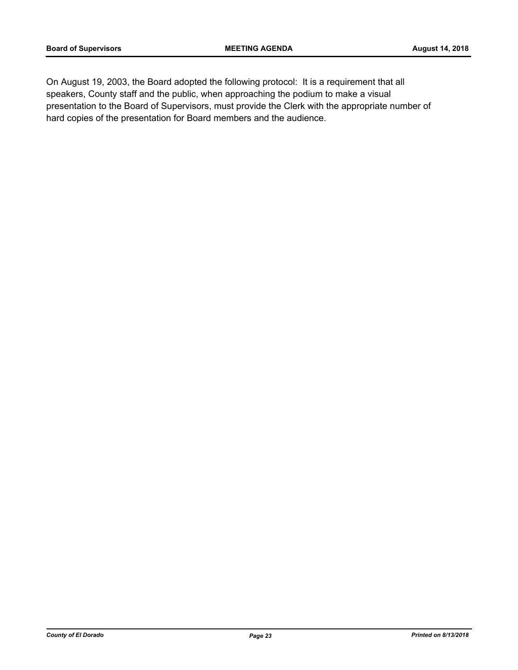On August 19, 2003, the Board adopted the following protocol: It is a requirement that all speakers, County staff and the public, when approaching the podium to make a visual presentation to the Board of Supervisors, must provide the Clerk with the appropriate number of hard copies of the presentation for Board members and the audience.